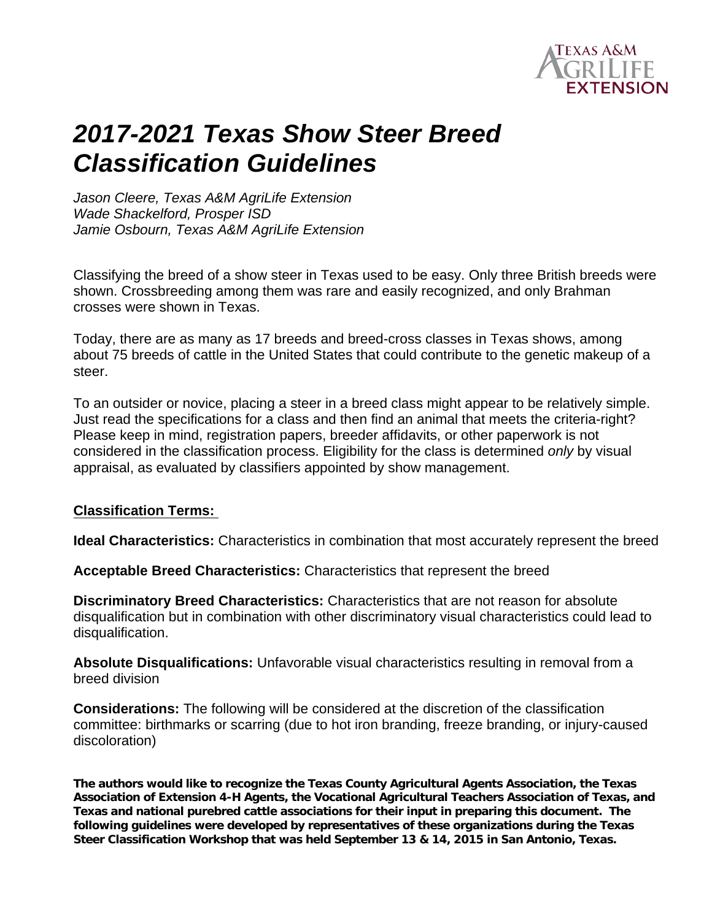

# *2017-2021 Texas Show Steer Breed Classification Guidelines*

*Jason Cleere, Texas A&M AgriLife Extension Wade Shackelford, Prosper ISD Jamie Osbourn, Texas A&M AgriLife Extension*

Classifying the breed of a show steer in Texas used to be easy. Only three British breeds were shown. Crossbreeding among them was rare and easily recognized, and only Brahman crosses were shown in Texas.

Today, there are as many as 17 breeds and breed-cross classes in Texas shows, among about 75 breeds of cattle in the United States that could contribute to the genetic makeup of a steer.

To an outsider or novice, placing a steer in a breed class might appear to be relatively simple. Just read the specifications for a class and then find an animal that meets the criteria-right? Please keep in mind, registration papers, breeder affidavits, or other paperwork is not considered in the classification process. Eligibility for the class is determined *only* by visual appraisal, as evaluated by classifiers appointed by show management.

### **Classification Terms:**

**Ideal Characteristics:** Characteristics in combination that most accurately represent the breed

**Acceptable Breed Characteristics:** Characteristics that represent the breed

**Discriminatory Breed Characteristics:** Characteristics that are not reason for absolute disqualification but in combination with other discriminatory visual characteristics could lead to disqualification.

**Absolute Disqualifications:** Unfavorable visual characteristics resulting in removal from a breed division

**Considerations:** The following will be considered at the discretion of the classification committee: birthmarks or scarring (due to hot iron branding, freeze branding, or injury-caused discoloration)

**The authors would like to recognize the Texas County Agricultural Agents Association, the Texas Association of Extension 4-H Agents, the Vocational Agricultural Teachers Association of Texas, and Texas and national purebred cattle associations for their input in preparing this document. The following guidelines were developed by representatives of these organizations during the Texas Steer Classification Workshop that was held September 13 & 14, 2015 in San Antonio, Texas.**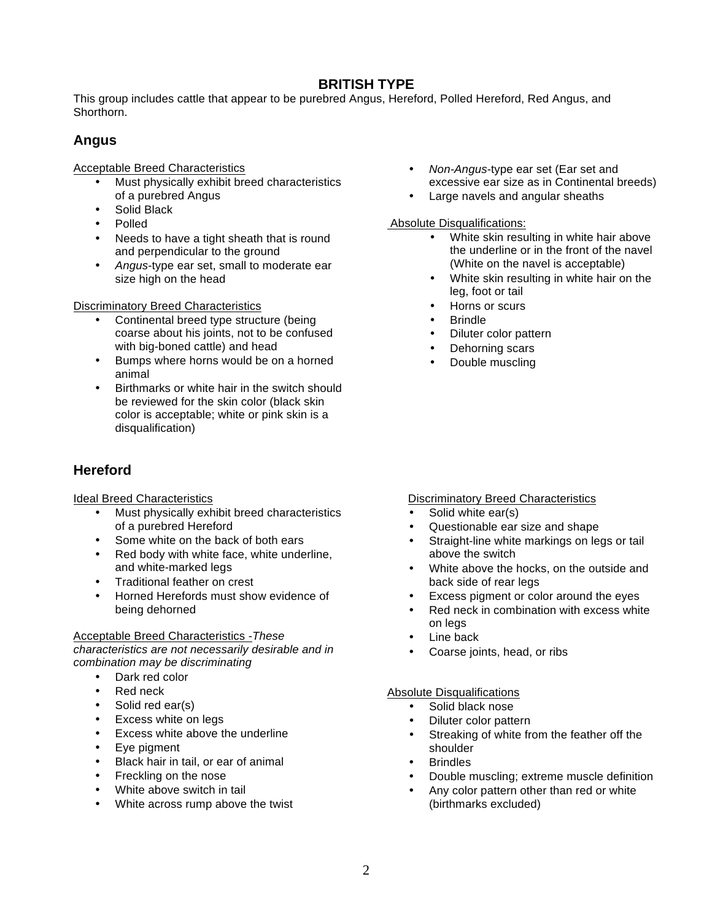### **BRITISH TYPE**

This group includes cattle that appear to be purebred Angus, Hereford, Polled Hereford, Red Angus, and Shorthorn.

### **Angus**

Acceptable Breed Characteristics

- Must physically exhibit breed characteristics of a purebred Angus
- Solid Black
- Polled
- Needs to have a tight sheath that is round and perpendicular to the ground
- *Angus*-type ear set, small to moderate ear size high on the head

Discriminatory Breed Characteristics

- Continental breed type structure (being coarse about his joints, not to be confused with big-boned cattle) and head
- Bumps where horns would be on a horned animal
- Birthmarks or white hair in the switch should be reviewed for the skin color (black skin color is acceptable; white or pink skin is a disqualification)

### **Hereford**

Ideal Breed Characteristics

- Must physically exhibit breed characteristics of a purebred Hereford
- Some white on the back of both ears
- Red body with white face, white underline, and white-marked legs
- Traditional feather on crest
- Horned Herefords must show evidence of being dehorned

Acceptable Breed Characteristics -*These characteristics are not necessarily desirable and in combination may be discriminating* 

- Dark red color
- Red neck
- Solid red ear(s)
- Excess white on legs
- Excess white above the underline
- Eye pigment
- Black hair in tail, or ear of animal
- Freckling on the nose
- White above switch in tail
- White across rump above the twist
- *Non-Angus*-type ear set (Ear set and excessive ear size as in Continental breeds)
- Large navels and angular sheaths

Absolute Disqualifications:

- White skin resulting in white hair above the underline or in the front of the navel (White on the navel is acceptable)
- White skin resulting in white hair on the leg, foot or tail
- Horns or scurs
- Brindle
- Diluter color pattern
- Dehorning scars
- Double muscling

#### **Discriminatory Breed Characteristics**

- Solid white ear(s)
- Questionable ear size and shape
- Straight-line white markings on legs or tail above the switch
- White above the hocks, on the outside and back side of rear legs
- Excess pigment or color around the eyes
- Red neck in combination with excess white on legs
- Line back
- Coarse joints, head, or ribs

- Solid black nose
- Diluter color pattern
- Streaking of white from the feather off the shoulder
- **Brindles**
- Double muscling; extreme muscle definition
- Any color pattern other than red or white (birthmarks excluded)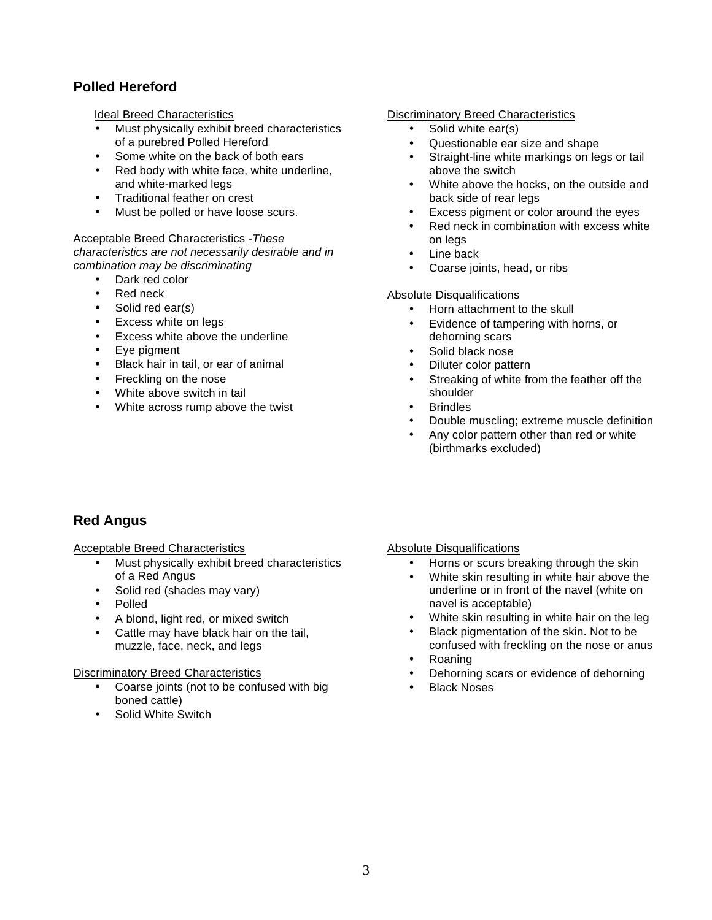### **Polled Hereford**

Ideal Breed Characteristics

- Must physically exhibit breed characteristics of a purebred Polled Hereford
- Some white on the back of both ears
- Red body with white face, white underline, and white-marked legs
- Traditional feather on crest
- Must be polled or have loose scurs.

#### Acceptable Breed Characteristics -*These characteristics are not necessarily desirable and in combination may be discriminating*

- Dark red color
- Red neck
- Solid red ear(s)
- Excess white on legs
- Excess white above the underline
- Eye pigment
- Black hair in tail, or ear of animal
- Freckling on the nose
- White above switch in tail
- White across rump above the twist

#### Discriminatory Breed Characteristics

- Solid white ear(s)
- Questionable ear size and shape
- Straight-line white markings on legs or tail above the switch
- White above the hocks, on the outside and back side of rear legs
- Excess pigment or color around the eyes
- Red neck in combination with excess white on legs
- Line back
- Coarse joints, head, or ribs

#### Absolute Disqualifications

- Horn attachment to the skull
- Evidence of tampering with horns, or dehorning scars
- Solid black nose
- Diluter color pattern
- Streaking of white from the feather off the shoulder
- **Brindles**
- Double muscling; extreme muscle definition
- Any color pattern other than red or white (birthmarks excluded)

### **Red Angus**

#### Acceptable Breed Characteristics

- Must physically exhibit breed characteristics of a Red Angus
- Solid red (shades may vary)
- Polled
- A blond, light red, or mixed switch
- Cattle may have black hair on the tail, muzzle, face, neck, and legs

#### Discriminatory Breed Characteristics

- Coarse joints (not to be confused with big boned cattle)
- Solid White Switch

- Horns or scurs breaking through the skin
- White skin resulting in white hair above the underline or in front of the navel (white on navel is acceptable)
- White skin resulting in white hair on the leg
- Black pigmentation of the skin. Not to be confused with freckling on the nose or anus
- Roaning
- Dehorning scars or evidence of dehorning
- Black Noses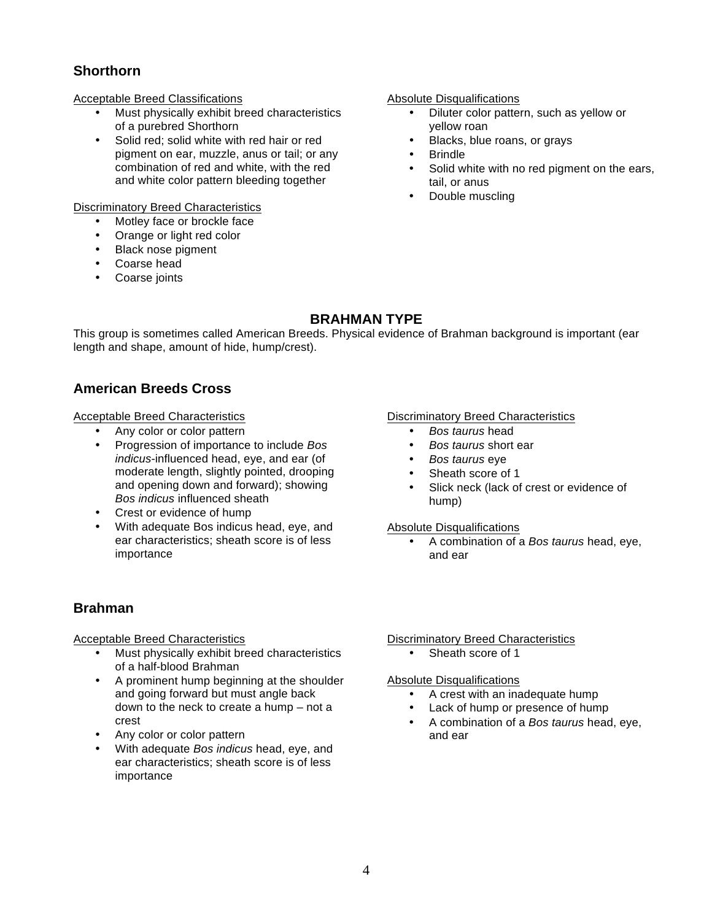### **Shorthorn**

#### Acceptable Breed Classifications

- Must physically exhibit breed characteristics of a purebred Shorthorn
- Solid red; solid white with red hair or red pigment on ear, muzzle, anus or tail; or any combination of red and white, with the red and white color pattern bleeding together

#### Discriminatory Breed Characteristics

- Motley face or brockle face
- Orange or light red color
- Black nose pigment
- Coarse head
- Coarse joints

#### Absolute Disqualifications

- Diluter color pattern, such as yellow or yellow roan
- Blacks, blue roans, or grays
- **Brindle**
- Solid white with no red pigment on the ears, tail, or anus
- Double muscling

### **BRAHMAN TYPE**

This group is sometimes called American Breeds. Physical evidence of Brahman background is important (ear length and shape, amount of hide, hump/crest).

### **American Breeds Cross**

#### Acceptable Breed Characteristics

- Any color or color pattern
- Progression of importance to include *Bos indicus*-influenced head, eye, and ear (of moderate length, slightly pointed, drooping and opening down and forward); showing *Bos indicus* influenced sheath
- Crest or evidence of hump
- With adequate Bos indicus head, eye, and ear characteristics; sheath score is of less importance

#### Discriminatory Breed Characteristics

- *Bos taurus* head
- *Bos taurus* short ear
- *Bos taurus* eye
- Sheath score of 1
- Slick neck (lack of crest or evidence of hump)

#### Absolute Disqualifications

• A combination of a *Bos taurus* head, eye, and ear

### **Brahman**

Acceptable Breed Characteristics

- Must physically exhibit breed characteristics of a half-blood Brahman
- A prominent hump beginning at the shoulder and going forward but must angle back down to the neck to create a hump – not a crest
- Any color or color pattern
- With adequate *Bos indicus* head, eye, and ear characteristics; sheath score is of less importance

Discriminatory Breed Characteristics

Sheath score of 1

- A crest with an inadequate hump
- Lack of hump or presence of hump
- A combination of a *Bos taurus* head, eye, and ear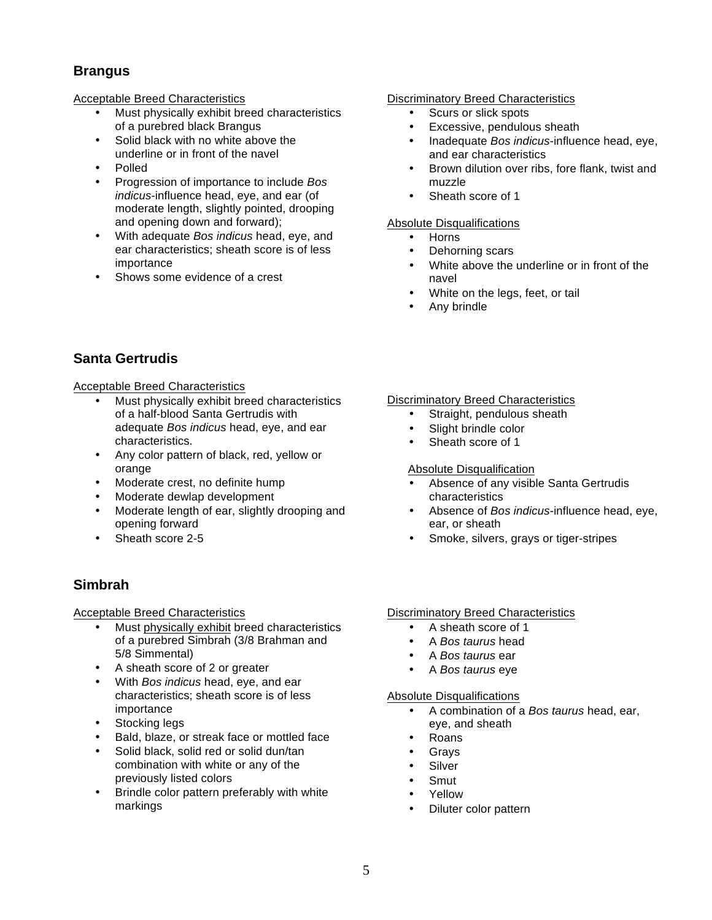### **Brangus**

#### Acceptable Breed Characteristics

- Must physically exhibit breed characteristics of a purebred black Brangus
- Solid black with no white above the underline or in front of the navel
- Polled
- Progression of importance to include *Bos indicus*-influence head, eye, and ear (of moderate length, slightly pointed, drooping and opening down and forward);
- With adequate *Bos indicus* head, eye, and ear characteristics; sheath score is of less importance
- Shows some evidence of a crest

### **Santa Gertrudis**

#### Acceptable Breed Characteristics

- Must physically exhibit breed characteristics of a half-blood Santa Gertrudis with adequate *Bos indicus* head, eye, and ear characteristics.
- Any color pattern of black, red, yellow or orange
- Moderate crest, no definite hump
- Moderate dewlap development
- Moderate length of ear, slightly drooping and opening forward
- Sheath score 2-5

### **Simbrah**

#### Acceptable Breed Characteristics

- Must physically exhibit breed characteristics of a purebred Simbrah (3/8 Brahman and 5/8 Simmental)
- A sheath score of 2 or greater
- With *Bos indicus* head, eye, and ear characteristics; sheath score is of less importance
- Stocking legs
- Bald, blaze, or streak face or mottled face
- Solid black, solid red or solid dun/tan combination with white or any of the previously listed colors
- Brindle color pattern preferably with white markings

#### Discriminatory Breed Characteristics

- Scurs or slick spots
- Excessive, pendulous sheath
- Inadequate *Bos indicus*-influence head, eye, and ear characteristics
- Brown dilution over ribs, fore flank, twist and muzzle
- Sheath score of 1

#### Absolute Disqualifications

- Horns
- Dehorning scars
- White above the underline or in front of the navel
- White on the legs, feet, or tail
- Any brindle

#### Discriminatory Breed Characteristics

- Straight, pendulous sheath
- Slight brindle color
- Sheath score of 1

#### Absolute Disqualification

- Absence of any visible Santa Gertrudis characteristics
- Absence of *Bos indicus*-influence head, eye, ear, or sheath
- Smoke, silvers, grays or tiger-stripes

#### Discriminatory Breed Characteristics

- A sheath score of 1
- A *Bos taurus* head
- A *Bos taurus* ear
- A *Bos taurus* eye

- A combination of a *Bos taurus* head, ear, eye, and sheath
- Roans
- **Gravs**
- **Silver**
- Smut
- Yellow
- Diluter color pattern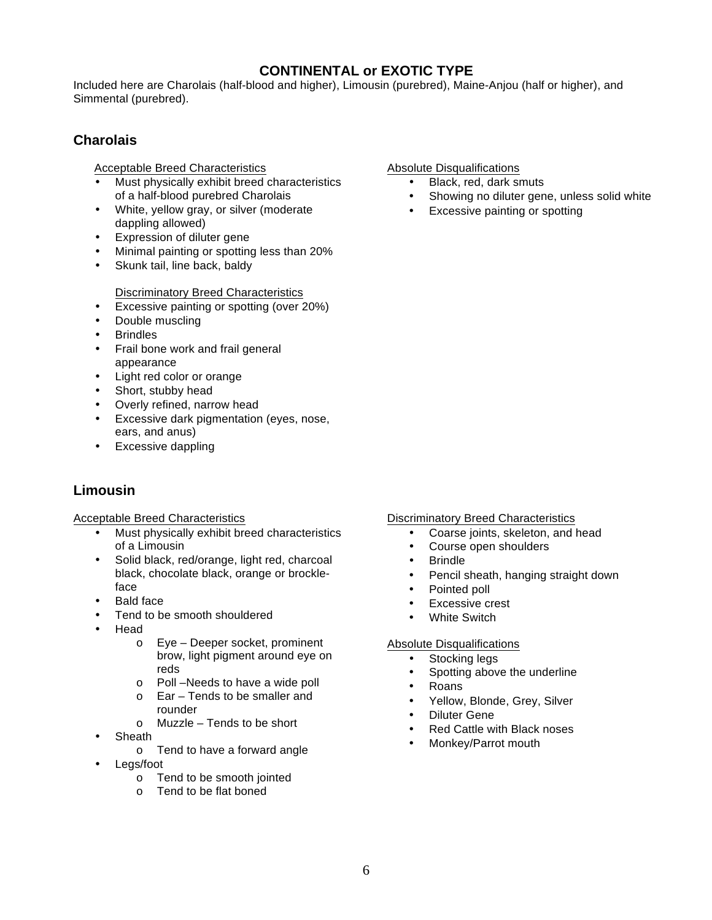### **CONTINENTAL or EXOTIC TYPE**

Included here are Charolais (half-blood and higher), Limousin (purebred), Maine-Anjou (half or higher), and Simmental (purebred).

### **Charolais**

Acceptable Breed Characteristics

- Must physically exhibit breed characteristics of a half-blood purebred Charolais
- White, yellow gray, or silver (moderate dappling allowed)
- Expression of diluter gene
- Minimal painting or spotting less than 20%
- Skunk tail, line back, baldy

Discriminatory Breed Characteristics

- Excessive painting or spotting (over 20%)
- Double muscling
- **Brindles**
- Frail bone work and frail general appearance
- Light red color or orange
- Short, stubby head
- Overly refined, narrow head
- Excessive dark pigmentation (eyes, nose, ears, and anus)
- Excessive dappling

### **Limousin**

Acceptable Breed Characteristics

- Must physically exhibit breed characteristics of a Limousin
- Solid black, red/orange, light red, charcoal black, chocolate black, orange or brockleface
- Bald face
- Tend to be smooth shouldered
- Head
	- o Eye Deeper socket, prominent brow, light pigment around eye on reds
	- o Poll –Needs to have a wide poll
	- o Ear Tends to be smaller and rounder
	- o Muzzle Tends to be short
- **Sheath** 
	- o Tend to have a forward angle
- Legs/foot
	- o Tend to be smooth jointed
	- o Tend to be flat boned

Absolute Disqualifications

- Black, red, dark smuts
- Showing no diluter gene, unless solid white<br>• Excessive painting or spotting
- Excessive painting or spotting

- Discriminatory Breed Characteristics
	- Coarse joints, skeleton, and head
	- Course open shoulders
	- Brindle
	- Pencil sheath, hanging straight down
	- Pointed poll
	- Excessive crest
	- White Switch

- Stocking legs
- Spotting above the underline
- Roans
- Yellow, Blonde, Grey, Silver
- Diluter Gene
- Red Cattle with Black noses
- Monkey/Parrot mouth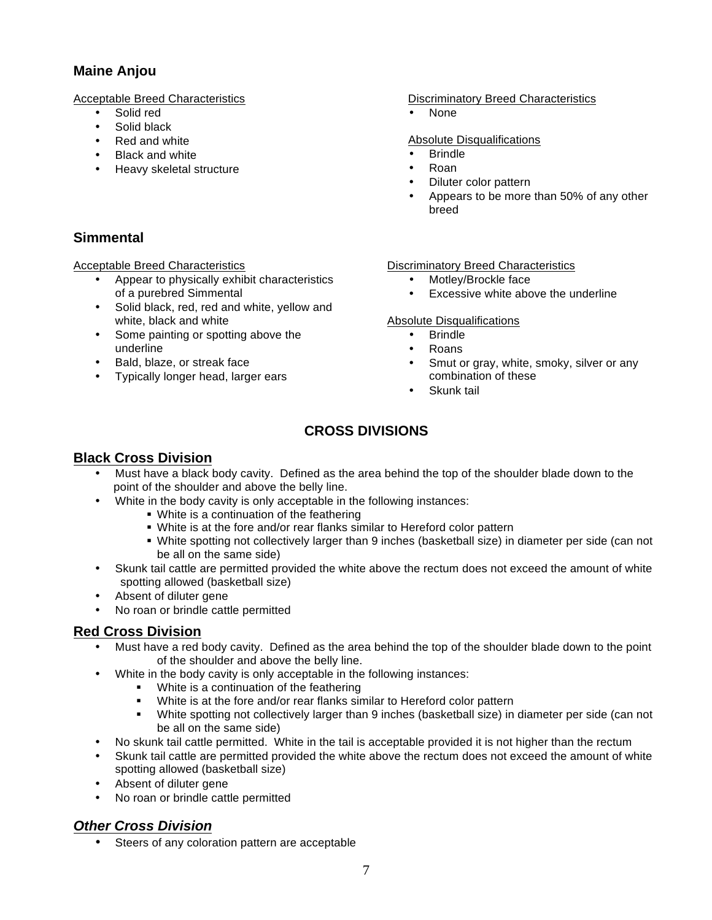### **Maine Anjou**

Acceptable Breed Characteristics

- Solid red
- Solid black
- Red and white
- **Black and white**
- Heavy skeletal structure

### **Simmental**

#### Acceptable Breed Characteristics

- Appear to physically exhibit characteristics of a purebred Simmental
- Solid black, red, red and white, yellow and white, black and white
- Some painting or spotting above the underline
- Bald, blaze, or streak face
- Typically longer head, larger ears

#### Discriminatory Breed Characteristics

• None

#### Absolute Disqualifications

- **Brindle**
- Roan
- Diluter color pattern
- Appears to be more than 50% of any other breed

#### Discriminatory Breed Characteristics

- Motley/Brockle face
- Excessive white above the underline

#### Absolute Disqualifications

- Brindle
- Roans
- Smut or gray, white, smoky, silver or any combination of these
- Skunk tail

### **CROSS DIVISIONS**

### **Black Cross Division**

- Must have a black body cavity. Defined as the area behind the top of the shoulder blade down to the point of the shoulder and above the belly line.
- White in the body cavity is only acceptable in the following instances:
	- White is a continuation of the feathering
	- White is at the fore and/or rear flanks similar to Hereford color pattern
	- White spotting not collectively larger than 9 inches (basketball size) in diameter per side (can not be all on the same side)
- Skunk tail cattle are permitted provided the white above the rectum does not exceed the amount of white spotting allowed (basketball size)
- Absent of diluter gene
- No roan or brindle cattle permitted

### **Red Cross Division**

- Must have a red body cavity. Defined as the area behind the top of the shoulder blade down to the point of the shoulder and above the belly line.
- White in the body cavity is only acceptable in the following instances:
	- White is a continuation of the feathering
	- White is at the fore and/or rear flanks similar to Hereford color pattern
	- § White spotting not collectively larger than 9 inches (basketball size) in diameter per side (can not be all on the same side)
- No skunk tail cattle permitted. White in the tail is acceptable provided it is not higher than the rectum
- Skunk tail cattle are permitted provided the white above the rectum does not exceed the amount of white spotting allowed (basketball size)
- Absent of diluter gene
- No roan or brindle cattle permitted

### *Other Cross Division*

Steers of any coloration pattern are acceptable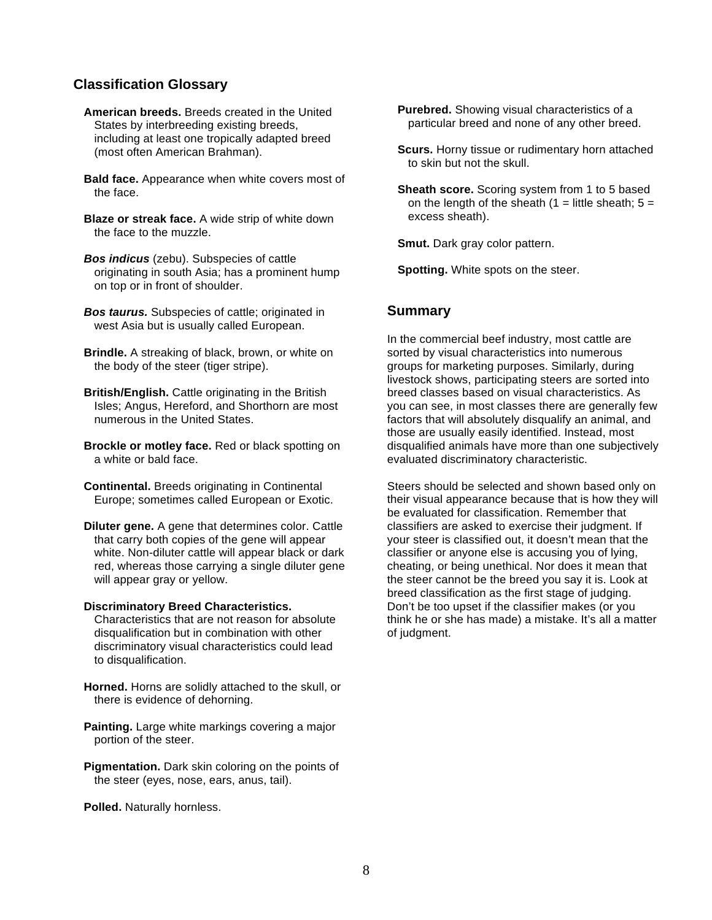#### **Classification Glossary**

- **American breeds.** Breeds created in the United States by interbreeding existing breeds, including at least one tropically adapted breed (most often American Brahman).
- **Bald face.** Appearance when white covers most of the face.
- **Blaze or streak face.** A wide strip of white down the face to the muzzle.
- *Bos indicus* (zebu). Subspecies of cattle originating in south Asia; has a prominent hump on top or in front of shoulder.
- *Bos taurus.* Subspecies of cattle; originated in west Asia but is usually called European.
- **Brindle.** A streaking of black, brown, or white on the body of the steer (tiger stripe).
- **British/English.** Cattle originating in the British Isles; Angus, Hereford, and Shorthorn are most numerous in the United States.
- **Brockle or motley face.** Red or black spotting on a white or bald face.
- **Continental.** Breeds originating in Continental Europe; sometimes called European or Exotic.
- **Diluter gene.** A gene that determines color. Cattle that carry both copies of the gene will appear white. Non-diluter cattle will appear black or dark red, whereas those carrying a single diluter gene will appear gray or yellow.

#### **Discriminatory Breed Characteristics.**

- Characteristics that are not reason for absolute disqualification but in combination with other discriminatory visual characteristics could lead to disqualification.
- **Horned.** Horns are solidly attached to the skull, or there is evidence of dehorning.
- **Painting.** Large white markings covering a major portion of the steer.
- **Pigmentation.** Dark skin coloring on the points of the steer (eyes, nose, ears, anus, tail).
- **Polled.** Naturally hornless.
- **Purebred.** Showing visual characteristics of a particular breed and none of any other breed.
- **Scurs.** Horny tissue or rudimentary horn attached to skin but not the skull.
- **Sheath score.** Scoring system from 1 to 5 based on the length of the sheath  $(1 =$  little sheath;  $5 =$ excess sheath).

**Smut.** Dark gray color pattern.

**Spotting.** White spots on the steer.

#### **Summary**

In the commercial beef industry, most cattle are sorted by visual characteristics into numerous groups for marketing purposes. Similarly, during livestock shows, participating steers are sorted into breed classes based on visual characteristics. As you can see, in most classes there are generally few factors that will absolutely disqualify an animal, and those are usually easily identified. Instead, most disqualified animals have more than one subjectively evaluated discriminatory characteristic.

Steers should be selected and shown based only on their visual appearance because that is how they will be evaluated for classification. Remember that classifiers are asked to exercise their judgment. If your steer is classified out, it doesn't mean that the classifier or anyone else is accusing you of lying, cheating, or being unethical. Nor does it mean that the steer cannot be the breed you say it is. Look at breed classification as the first stage of judging. Don't be too upset if the classifier makes (or you think he or she has made) a mistake. It's all a matter of judgment.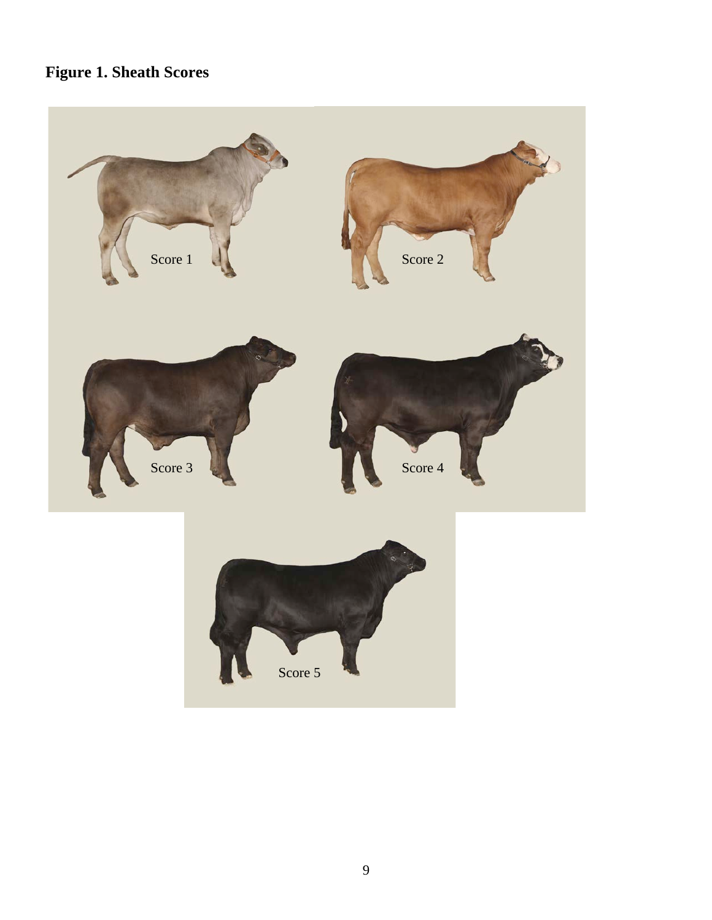# **Figure 1. Sheath Scores**

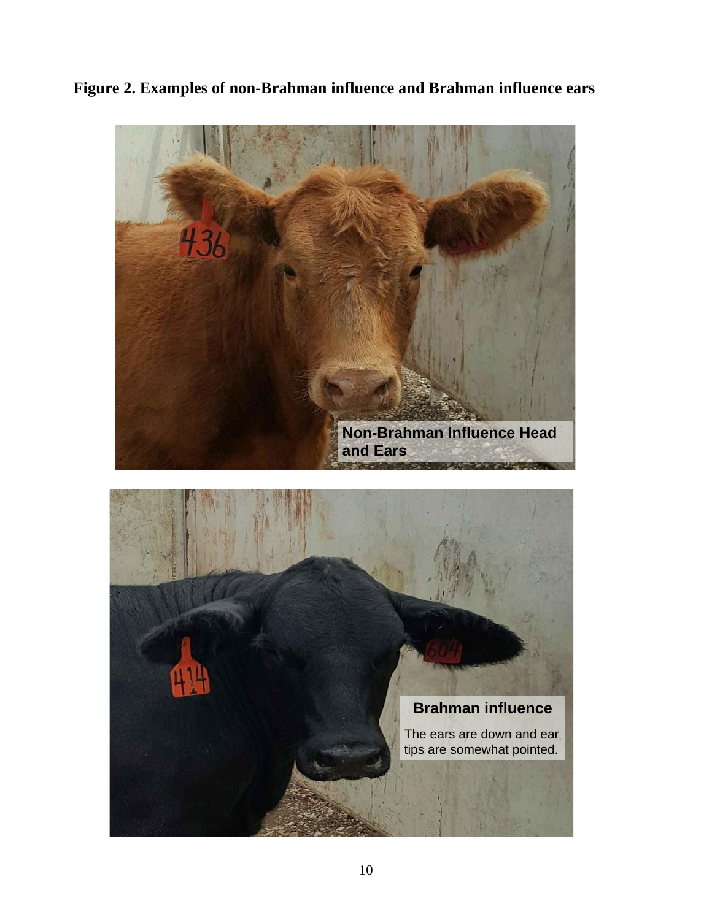**Figure 2. Examples of non-Brahman influence and Brahman influence ears**



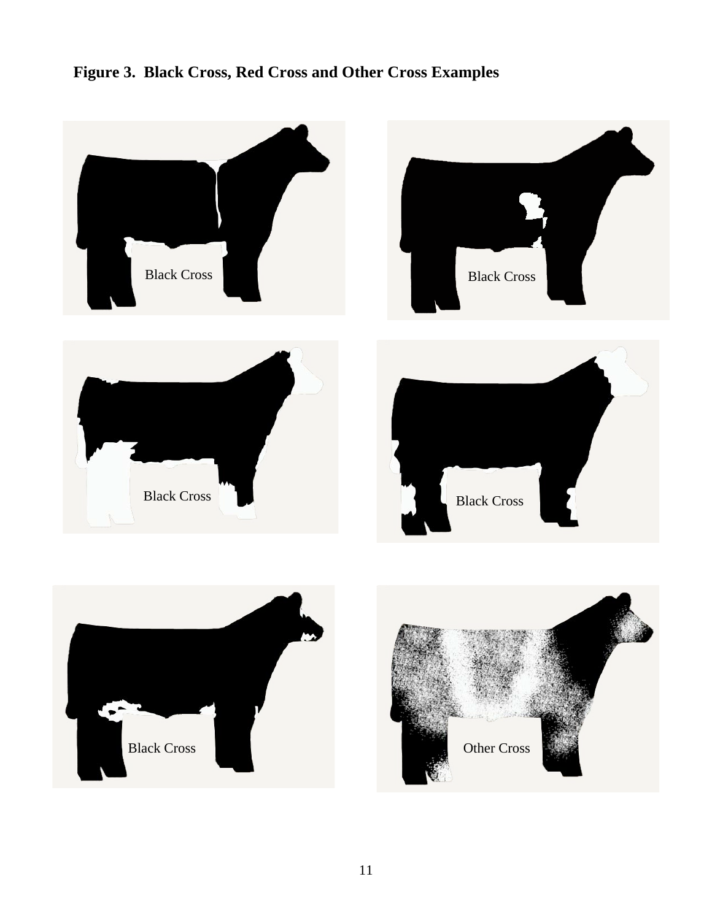## **Figure 3. Black Cross, Red Cross and Other Cross Examples**



Other Cross

11

Black Cross